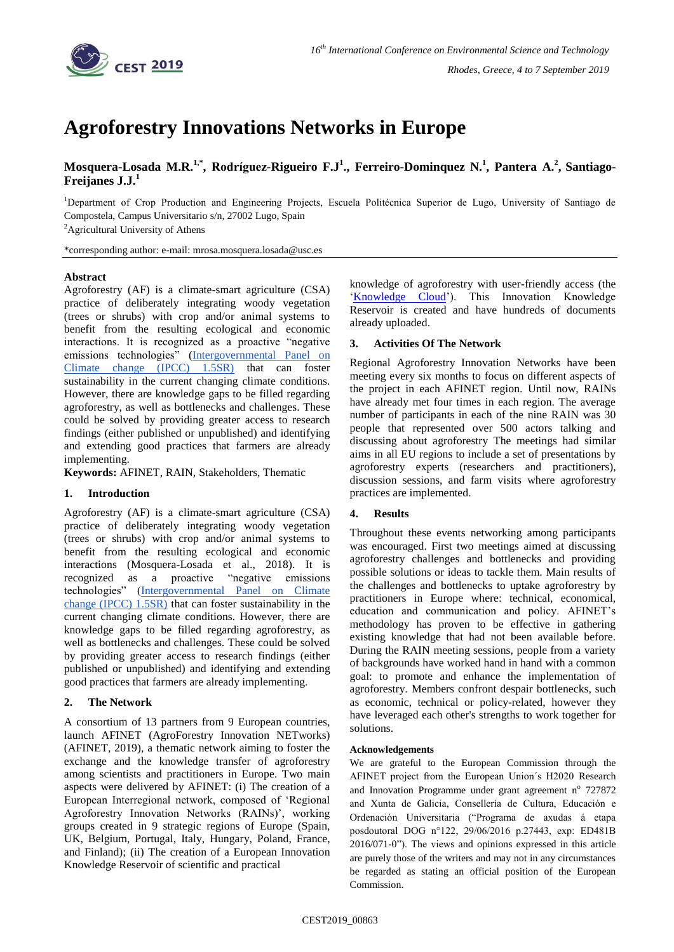

# **Agroforestry Innovations Networks in Europe**

**Mosquera-Losada M.R.1,\* , Rodríguez-Rigueiro F.J<sup>1</sup> ., Ferreiro-Dominquez N.<sup>1</sup> , Pantera A.<sup>2</sup> , Santiago-Freijanes J.J.<sup>1</sup>**

<sup>1</sup>Department of Crop Production and Engineering Projects, Escuela Politécnica Superior de Lugo, University of Santiago de Compostela, Campus Universitario s/n, 27002 Lugo, Spain <sup>2</sup>Agricultural University of Athens

\*corresponding author: e-mail: mrosa.mosquera.losada@usc.es

### **Abstract**

Agroforestry (AF) is a climate-smart agriculture (CSA) practice of deliberately integrating woody vegetation (trees or shrubs) with crop and/or animal systems to benefit from the resulting ecological and economic interactions. It is recognized as a proactive "negative emissions technologies" (Intergovernmental Panel on [Climate change \(IPCC\) 1.5SR\)](https://www.ipcc.ch/sr15/) that can foster sustainability in the current changing climate conditions. However, there are knowledge gaps to be filled regarding agroforestry, as well as bottlenecks and challenges. These could be solved by providing greater access to research findings (either published or unpublished) and identifying and extending good practices that farmers are already implementing.

**Keywords:** AFINET, RAIN, Stakeholders, Thematic

# **1. Introduction**

Agroforestry (AF) is a climate-smart agriculture (CSA) practice of deliberately integrating woody vegetation (trees or shrubs) with crop and/or animal systems to benefit from the resulting ecological and economic interactions (Mosquera-Losada et al., 2018). It is recognized as a proactive "negative emissions technologies" [\(Intergovernmental Panel on Climate](https://www.ipcc.ch/sr15/)  [change \(IPCC\) 1.5SR\)](https://www.ipcc.ch/sr15/) that can foster sustainability in the current changing climate conditions. However, there are knowledge gaps to be filled regarding agroforestry, as well as bottlenecks and challenges. These could be solved by providing greater access to research findings (either published or unpublished) and identifying and extending good practices that farmers are already implementing.

### **2. The Network**

A consortium of 13 partners from 9 European countries, launch AFINET (AgroForestry Innovation NETworks) (AFINET, 2019), a thematic network aiming to foster the exchange and the knowledge transfer of agroforestry among scientists and practitioners in Europe. Two main aspects were delivered by AFINET: (i) The creation of a European Interregional network, composed of 'Regional Agroforestry Innovation Networks (RAINs)', working groups created in 9 strategic regions of Europe (Spain, UK, Belgium, Portugal, Italy, Hungary, Poland, France, and Finland); (ii) The creation of a European Innovation Knowledge Reservoir of scientific and practical

knowledge of agroforestry with user-friendly access (the ['Knowledge Cloud'](http://www.eurafagroforestry.eu/afinet/knowledge-cloud)). This Innovation Knowledge Reservoir is created and have hundreds of documents already uploaded.

### **3. Activities Of The Network**

Regional Agroforestry Innovation Networks have been meeting every six months to focus on different aspects of the project in each AFINET region. Until now, RAINs have already met four times in each region. The average number of participants in each of the nine RAIN was 30 people that represented over 500 actors talking and discussing about agroforestry The meetings had similar aims in all EU regions to include a set of presentations by agroforestry experts (researchers and practitioners), discussion sessions, and farm visits where agroforestry practices are implemented.

# **4. Results**

Throughout these events networking among participants was encouraged. First two meetings aimed at discussing agroforestry challenges and bottlenecks and providing possible solutions or ideas to tackle them. Main results of the challenges and bottlenecks to uptake agroforestry by practitioners in Europe where: technical, economical, education and communication and policy. AFINET's methodology has proven to be effective in gathering existing knowledge that had not been available before. During the RAIN meeting sessions, people from a variety of backgrounds have worked hand in hand with a common goal: to promote and enhance the implementation of agroforestry. Members confront despair bottlenecks, such as economic, technical or policy-related, however they have leveraged each other's strengths to work together for solutions.

#### **Acknowledgements**

We are grateful to the European Commission through the AFINET project from the European Union´s H2020 Research and Innovation Programme under grant agreement nº 727872 and Xunta de Galicia, Consellería de Cultura, Educación e Ordenación Universitaria ("Programa de axudas á etapa posdoutoral DOG n°122, 29/06/2016 p.27443, exp: ED481B 2016/071-0"). The views and opinions expressed in this article are purely those of the writers and may not in any circumstances be regarded as stating an official position of the European Commission.